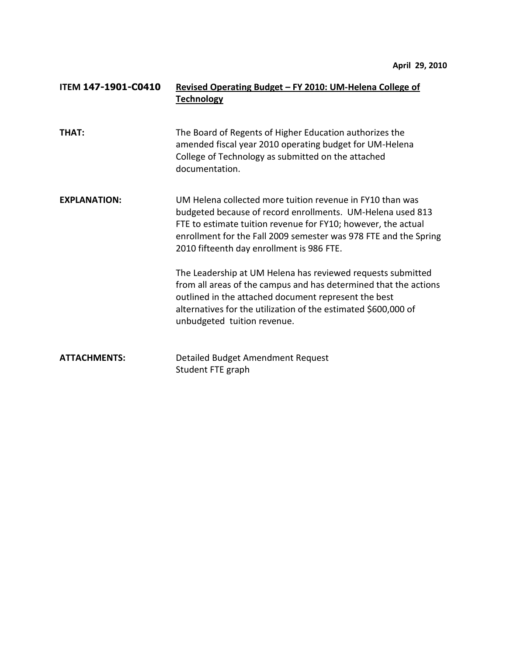| <b>ITEM 147-1901-C0410</b> | Revised Operating Budget - FY 2010: UM-Helena College of<br><b>Technology</b>                                                                                                                                                                                                                             |
|----------------------------|-----------------------------------------------------------------------------------------------------------------------------------------------------------------------------------------------------------------------------------------------------------------------------------------------------------|
| <b>THAT:</b>               | The Board of Regents of Higher Education authorizes the<br>amended fiscal year 2010 operating budget for UM-Helena<br>College of Technology as submitted on the attached<br>documentation.                                                                                                                |
| <b>EXPLANATION:</b>        | UM Helena collected more tuition revenue in FY10 than was<br>budgeted because of record enrollments. UM-Helena used 813<br>FTE to estimate tuition revenue for FY10; however, the actual<br>enrollment for the Fall 2009 semester was 978 FTE and the Spring<br>2010 fifteenth day enrollment is 986 FTE. |
|                            | The Leadership at UM Helena has reviewed requests submitted<br>from all areas of the campus and has determined that the actions<br>outlined in the attached document represent the best<br>alternatives for the utilization of the estimated \$600,000 of<br>unbudgeted tuition revenue.                  |
| <b>ATTACHMENTS:</b>        | Detailed Budget Amendment Request<br>Student FTE graph                                                                                                                                                                                                                                                    |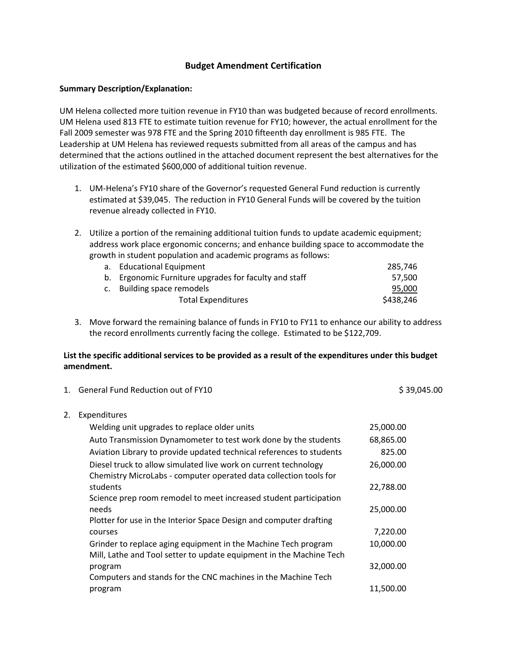# **Budget Amendment Certification**

### **Summary Description/Explanation:**

UM Helena collected more tuition revenue in FY10 than was budgeted because of record enrollments. UM Helena used 813 FTE to estimate tuition revenue for FY10; however, the actual enrollment for the Fall 2009 semester was 978 FTE and the Spring 2010 fifteenth day enrollment is 985 FTE. The Leadership at UM Helena has reviewed requests submitted from all areas of the campus and has determined that the actions outlined in the attached document represent the best alternatives for the utilization of the estimated \$600,000 of additional tuition revenue.

- 1. UM-Helena's FY10 share of the Governor's requested General Fund reduction is currently estimated at \$39,045. The reduction in FY10 General Funds will be covered by the tuition revenue already collected in FY10.
- 2. Utilize a portion of the remaining additional tuition funds to update academic equipment; address work place ergonomic concerns; and enhance building space to accommodate the growth in student population and academic programs as follows:

| a. Educational Equipment                              | 285.746   |
|-------------------------------------------------------|-----------|
| b. Ergonomic Furniture upgrades for faculty and staff | 57.500    |
| c. Building space remodels                            | 95,000    |
| <b>Total Expenditures</b>                             | \$438.246 |

3. Move forward the remaining balance of funds in FY10 to FY11 to enhance our ability to address the record enrollments currently facing the college. Estimated to be \$122,709.

## **List the specific additional services to be provided as a result of the expenditures under this budget amendment.**

|    | 1. General Fund Reduction out of FY10                                                                                                 | \$39,045.00 |
|----|---------------------------------------------------------------------------------------------------------------------------------------|-------------|
| 2. | Expenditures                                                                                                                          |             |
|    | Welding unit upgrades to replace older units                                                                                          | 25,000.00   |
|    | Auto Transmission Dynamometer to test work done by the students                                                                       | 68,865.00   |
|    | Aviation Library to provide updated technical references to students                                                                  | 825.00      |
|    | Diesel truck to allow simulated live work on current technology<br>Chemistry MicroLabs - computer operated data collection tools for  | 26,000.00   |
|    | students                                                                                                                              | 22,788.00   |
|    | Science prep room remodel to meet increased student participation                                                                     |             |
|    | needs                                                                                                                                 | 25,000.00   |
|    | Plotter for use in the Interior Space Design and computer drafting                                                                    |             |
|    | courses                                                                                                                               | 7,220.00    |
|    | Grinder to replace aging equipment in the Machine Tech program<br>Mill, Lathe and Tool setter to update equipment in the Machine Tech | 10,000.00   |
|    | program                                                                                                                               | 32,000.00   |
|    | Computers and stands for the CNC machines in the Machine Tech                                                                         |             |
|    | program                                                                                                                               | 11,500.00   |
|    |                                                                                                                                       |             |